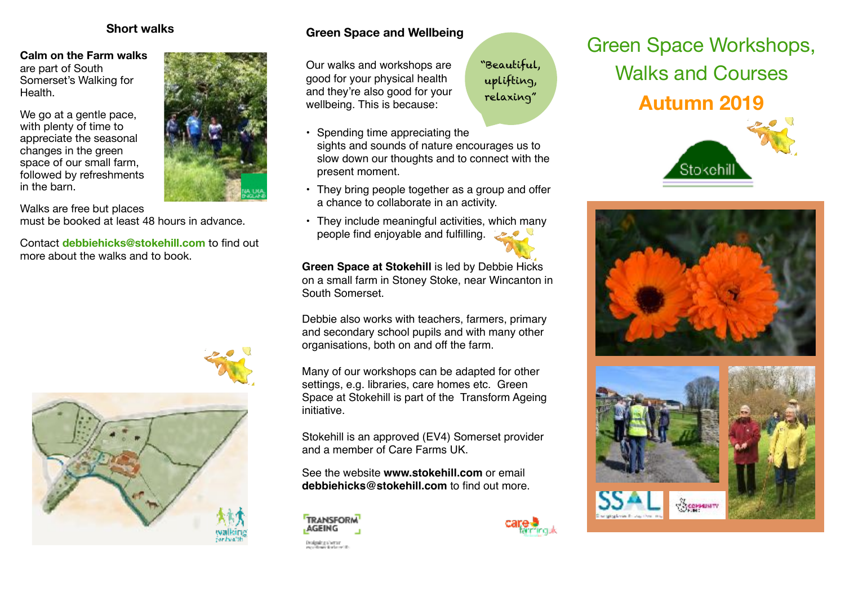### **Short walks**

#### **Calm on the Farm walks** are part of South

Somerset's Walking for Health.

We go at a gentle pace, with plenty of time to appreciate the seasonal changes in the green space of our small farm, followed by refreshments in the barn.

Walks are free but places must be booked at least 48 hours in advance.

Contact **debbiehicks@stokehill.com** to find out more about the walks and to book.





Our walks and workshops are good for your physical health and they're also good for your wellbeing. This is because:

"Beautiful, uplifting, relaxing"

- Spending time appreciating the sights and sounds of nature encourages us to slow down our thoughts and to connect with the present moment.
- They bring people together as a group and offer a chance to collaborate in an activity.
- They include meaningful activities, which many people find enjoyable and fulfilling.

**Green Space at Stokehill is led by Debbie Hicks** on a small farm in Stoney Stoke, near Wincanton in South Somerset.

Debbie also works with teachers, farmers, primary and secondary school pupils and with many other organisations, both on and off the farm.

Many of our workshops can be adapted for other settings, e.g. libraries, care homes etc. Green Space at Stokehill is part of the Transform Ageing initiative.

Stokehill is an approved (EV4) Somerset provider and a member of Care Farms UK.

See the website **[www.stokehill.com](http://www.stokehill.com)** or email **[debbiehicks@stokehill.com](mailto:debbiehicks@stokehill.com)** to find out more.





# Green Space Workshops, Walks and Courses

**Autumn 2019**